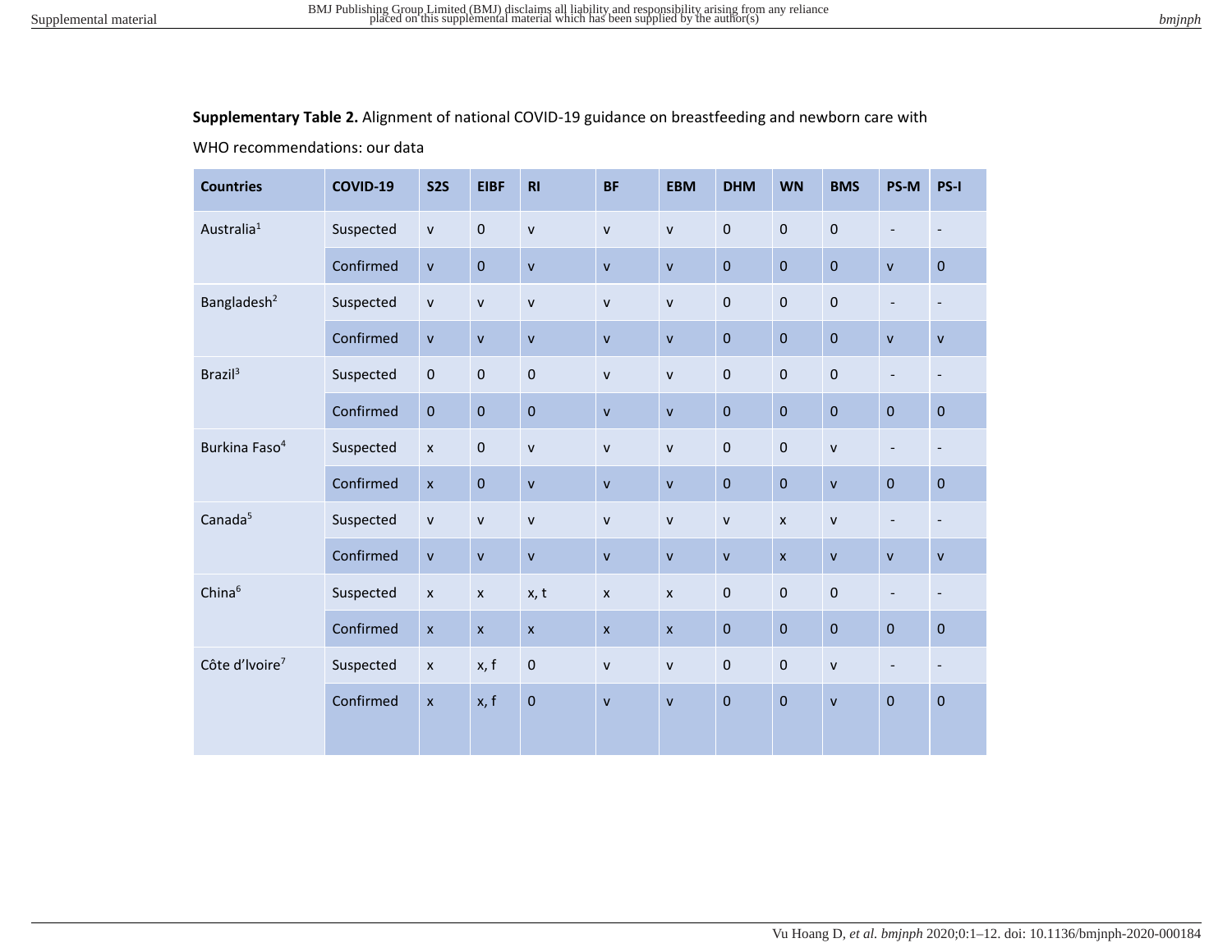**Supplementary Table 2.** Alignment of national COVID-19 guidance on breastfeeding and newborn care with

WHO recommendations: our data

| <b>Countries</b>           | COVID-19  | <b>S2S</b>         | <b>EIBF</b>    | R1           | <b>BF</b>          | <b>EBM</b>     | <b>DHM</b>   | <b>WN</b>      | <b>BMS</b>   | PS-M                     | PS-I                     |
|----------------------------|-----------|--------------------|----------------|--------------|--------------------|----------------|--------------|----------------|--------------|--------------------------|--------------------------|
| Australia <sup>1</sup>     | Suspected | $\mathsf{v}$       | $\mathbf 0$    | $\mathsf{v}$ | $\mathsf{v}$       | $\mathsf{v}$   | $\pmb{0}$    | $\bf 0$        | $\mathbf 0$  | $\overline{\phantom{a}}$ | $\overline{\phantom{a}}$ |
|                            | Confirmed | $\mathsf{v}$       | $\bf 0$        | $\mathsf{v}$ | $\mathsf{V}$       | $\mathsf{v}$   | $\pmb{0}$    | $\mathbf 0$    | $\pmb{0}$    | $\mathsf{V}$             | $\pmb{0}$                |
| Bangladesh <sup>2</sup>    | Suspected | ${\sf v}$          | $\mathsf{v}$   | $\mathsf{v}$ | $\mathsf{V}$       | $\mathsf{v}$   | $\pmb{0}$    | $\bf 0$        | $\pmb{0}$    | $\overline{\phantom{a}}$ | $\overline{\phantom{a}}$ |
|                            | Confirmed | ${\sf v}$          | $\mathsf{v}$   | $\mathsf{v}$ | $\mathsf{V}$       | $\mathsf{v}$   | $\pmb{0}$    | $\mathbf{0}$   | $\pmb{0}$    | $\mathsf{V}$             | $\mathsf{V}$             |
| Brazil <sup>3</sup>        | Suspected | $\pmb{0}$          | $\pmb{0}$      | $\bf 0$      | $\mathsf{V}$       | $\mathsf{v}$   | $\pmb{0}$    | $\mathbf 0$    | $\mathbf 0$  | $\overline{\phantom{a}}$ | $\overline{\phantom{a}}$ |
|                            | Confirmed | $\pmb{0}$          | $\pmb{0}$      | $\mathbf 0$  | $\mathsf{v}$       | $\mathbf{v}$   | $\pmb{0}$    | $\mathbf 0$    | $\pmb{0}$    | $\pmb{0}$                | $\pmb{0}$                |
| Burkina Faso <sup>4</sup>  | Suspected | $\pmb{\times}$     | $\pmb{0}$      | $\mathsf{v}$ | $\mathsf{v}$       | $\mathsf{V}$   | $\pmb{0}$    | $\bf 0$        | $\mathsf{V}$ | $\overline{\phantom{a}}$ | $\overline{\phantom{a}}$ |
|                            | Confirmed | $\pmb{\mathsf{x}}$ | $\pmb{0}$      | $\mathsf{v}$ | $\mathsf{V}$       | $\mathsf{v}$   | $\pmb{0}$    | $\mathbf 0$    | $\mathsf{v}$ | $\pmb{0}$                | $\pmb{0}$                |
| Canada <sup>5</sup>        | Suspected | ${\sf v}$          | $\mathsf{v}$   | $\mathsf{v}$ | $\mathsf{V}$       | $\mathsf{v}$   | $\mathsf{v}$ | $\pmb{\times}$ | ${\sf v}$    | $\overline{\phantom{a}}$ | $\overline{\phantom{a}}$ |
|                            | Confirmed | $\mathsf{v}$       | $\mathsf{v}$   | $\mathsf{v}$ | $\mathsf{v}$       | $\mathsf{v}$   | $\mathsf{v}$ | $\mathsf{x}$   | $\mathsf{v}$ | $\mathsf{v}$             | $\mathsf{v}$             |
| China <sup>6</sup>         | Suspected | $\pmb{\times}$     | $\pmb{\times}$ | x, t         | $\pmb{\mathsf{x}}$ | $\pmb{\times}$ | $\pmb{0}$    | $\mathbf 0$    | $\pmb{0}$    | $\overline{\phantom{a}}$ | $\overline{\phantom{a}}$ |
|                            | Confirmed | $\pmb{\times}$     | $\pmb{\chi}$   | $\mathsf{x}$ | $\mathsf{x}$       | $\mathsf{x}$   | $\pmb{0}$    | $\mathbf 0$    | $\pmb{0}$    | $\pmb{0}$                | $\pmb{0}$                |
| Côte d'Ivoire <sup>7</sup> | Suspected | $\pmb{\mathsf{x}}$ | x, f           | $\pmb{0}$    | $\mathsf{V}$       | $\mathsf{v}$   | $\pmb{0}$    | $\pmb{0}$      | $\mathsf{V}$ | $\overline{\phantom{a}}$ | $\overline{\phantom{a}}$ |
|                            | Confirmed | $\pmb{\mathsf{x}}$ | x, f           | $\pmb{0}$    | $\mathsf{v}$       | $\mathsf{V}$   | $\pmb{0}$    | $\mathbf 0$    | $\mathsf{V}$ | $\mathbf 0$              | $\pmb{0}$                |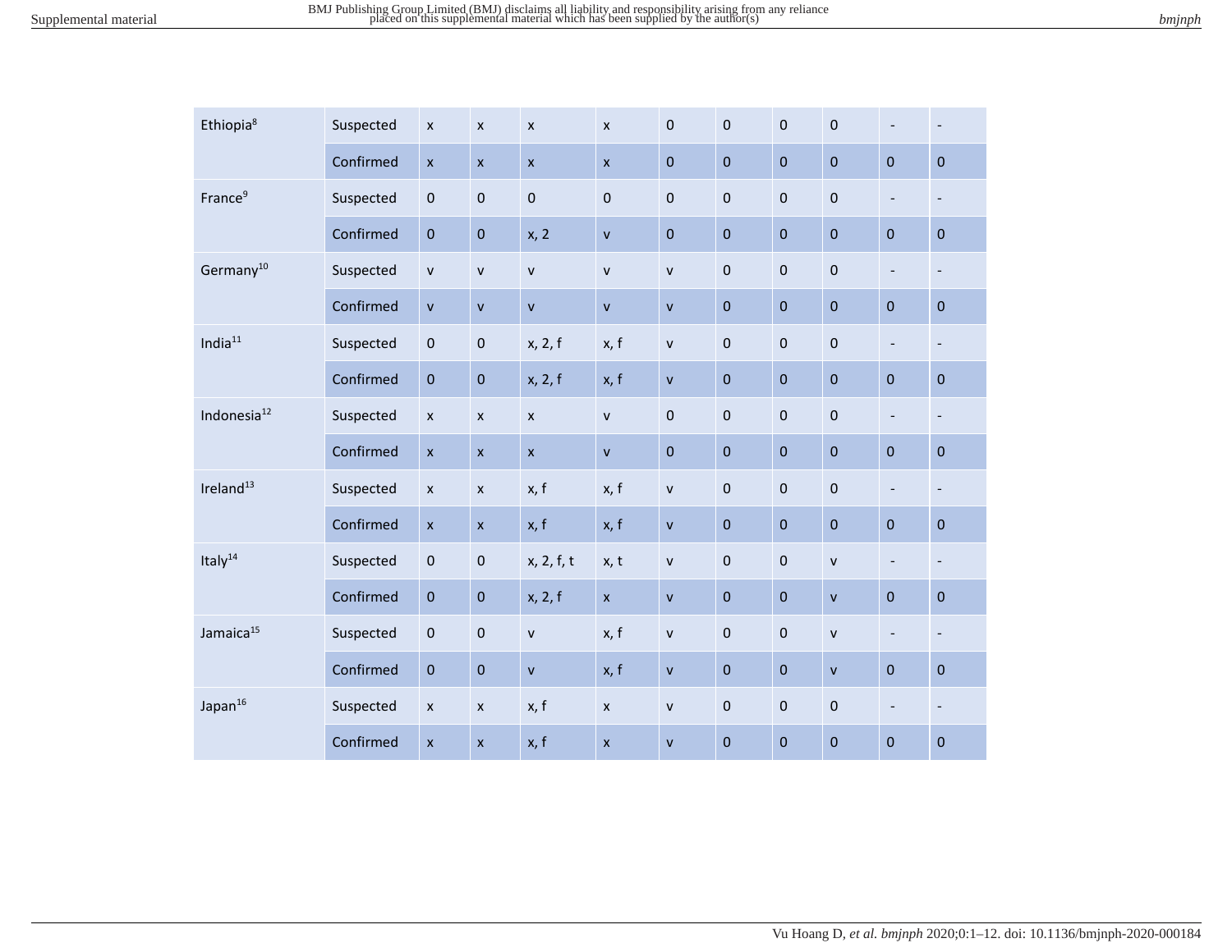| Ethiopia <sup>8</sup>   | Suspected | $\pmb{\times}$     | $\pmb{\chi}$              | $\pmb{\chi}$   | $\boldsymbol{\mathsf{x}}$ | $\pmb{0}$    | $\pmb{0}$   | $\pmb{0}$   | $\pmb{0}$    | $\overline{\phantom{a}}$ | $\overline{\phantom{a}}$ |
|-------------------------|-----------|--------------------|---------------------------|----------------|---------------------------|--------------|-------------|-------------|--------------|--------------------------|--------------------------|
|                         | Confirmed | $\mathsf{x}$       | $\mathsf{x}$              | $\mathsf{x}$   | $\mathsf{x}$              | $\pmb{0}$    | $\pmb{0}$   | $\pmb{0}$   | $\pmb{0}$    | $\pmb{0}$                | $\pmb{0}$                |
| France <sup>9</sup>     | Suspected | $\pmb{0}$          | $\pmb{0}$                 | $\mathbf 0$    | $\mathbf 0$               | $\pmb{0}$    | $\pmb{0}$   | $\pmb{0}$   | $\pmb{0}$    | $\overline{\phantom{a}}$ | $\overline{\phantom{a}}$ |
|                         | Confirmed | $\mathbf 0$        | $\pmb{0}$                 | x, 2           | $\mathsf{V}$              | $\mathbf 0$  | $\mathbf 0$ | $\mathbf 0$ | $\mathbf 0$  | $\mathbf 0$              | $\pmb{0}$                |
| Germany <sup>10</sup>   | Suspected | $\mathsf{v}$       | $\mathsf{v}$              | $\mathsf{v}$   | $\mathsf{v}$              | $\mathsf{v}$ | $\pmb{0}$   | $\pmb{0}$   | $\pmb{0}$    | $\blacksquare$           | $\overline{\phantom{a}}$ |
|                         | Confirmed | $\mathsf{v}$       | $\mathsf{v}$              | $\mathbf{v}$   | $\mathbf{v}$              | $\mathsf{v}$ | $\pmb{0}$   | $\pmb{0}$   | $\pmb{0}$    | $\mathbf 0$              | $\pmb{0}$                |
| India $11$              | Suspected | $\pmb{0}$          | $\pmb{0}$                 | x, 2, f        | x, f                      | $\mathsf{v}$ | $\mathbf 0$ | $\pmb{0}$   | $\pmb{0}$    | $\overline{\phantom{a}}$ | $\overline{\phantom{a}}$ |
|                         | Confirmed | $\pmb{0}$          | $\bf 0$                   | x, 2, f        | x, f                      | $\mathbf{V}$ | $\mathbf 0$ | $\pmb{0}$   | $\pmb{0}$    | $\mathbf 0$              | $\pmb{0}$                |
| Indonesia <sup>12</sup> | Suspected | $\pmb{\mathsf{x}}$ | $\pmb{\times}$            | $\pmb{\chi}$   | $\mathsf{v}$              | $\pmb{0}$    | $\mathbf 0$ | $\pmb{0}$   | $\pmb{0}$    | $\overline{\phantom{a}}$ | $\overline{\phantom{a}}$ |
|                         | Confirmed | $\pmb{\mathsf{x}}$ | $\pmb{\times}$            | $\pmb{\times}$ | $\mathbf{V}$              | $\pmb{0}$    | $\pmb{0}$   | $\pmb{0}$   | $\pmb{0}$    | $\bf 0$                  | $\mathbf 0$              |
| Ireland <sup>13</sup>   | Suspected | $\pmb{\times}$     | $\boldsymbol{\mathsf{x}}$ | x, f           | x, f                      | $\mathsf{v}$ | $\pmb{0}$   | $\pmb{0}$   | $\pmb{0}$    | $\overline{\phantom{a}}$ | $\overline{\phantom{a}}$ |
|                         | Confirmed | $\pmb{\times}$     | $\pmb{\times}$            | x, f           | x, f                      | $\mathsf{v}$ | $\pmb{0}$   | $\pmb{0}$   | $\pmb{0}$    | $\pmb{0}$                | $\pmb{0}$                |
| Italy <sup>14</sup>     | Suspected | $\pmb{0}$          | $\pmb{0}$                 | x, 2, f, t     | x, t                      | $\mathsf{v}$ | $\pmb{0}$   | $\pmb{0}$   | $\mathsf{v}$ | $\overline{\phantom{a}}$ | $\overline{\phantom{a}}$ |
|                         | Confirmed | $\mathbf 0$        | $\pmb{0}$                 | x, 2, f        | $\pmb{\times}$            | $\mathsf{v}$ | $\mathbf 0$ | $\mathbf 0$ | $\mathbf{v}$ | $\mathbf 0$              | $\pmb{0}$                |
| Jamaica <sup>15</sup>   | Suspected | $\pmb{0}$          | $\pmb{0}$                 | $\mathsf{v}$   | x, f                      | $\mathsf{v}$ | $\pmb{0}$   | $\pmb{0}$   | $\mathsf{v}$ | $\overline{\phantom{a}}$ | $\overline{\phantom{a}}$ |
|                         | Confirmed | $\pmb{0}$          | $\bf 0$                   | $\mathbf{v}$   | x, f                      | $\mathsf{V}$ | $\mathbf 0$ | $\pmb{0}$   | $\mathsf{v}$ | $\bf 0$                  | $\pmb{0}$                |
| Japan <sup>16</sup>     | Suspected | $\pmb{\mathsf{x}}$ | $\pmb{\times}$            | x, f           | $\pmb{\times}$            | $\mathsf{v}$ | $\pmb{0}$   | $\pmb{0}$   | $\pmb{0}$    | $\overline{\phantom{a}}$ | $\overline{\phantom{a}}$ |
|                         | Confirmed | $\pmb{\mathsf{x}}$ | $\pmb{\mathsf{x}}$        | x, f           | $\boldsymbol{\mathsf{x}}$ | $\mathsf{v}$ | $\pmb{0}$   | $\pmb{0}$   | $\pmb{0}$    | $\pmb{0}$                | $\pmb{0}$                |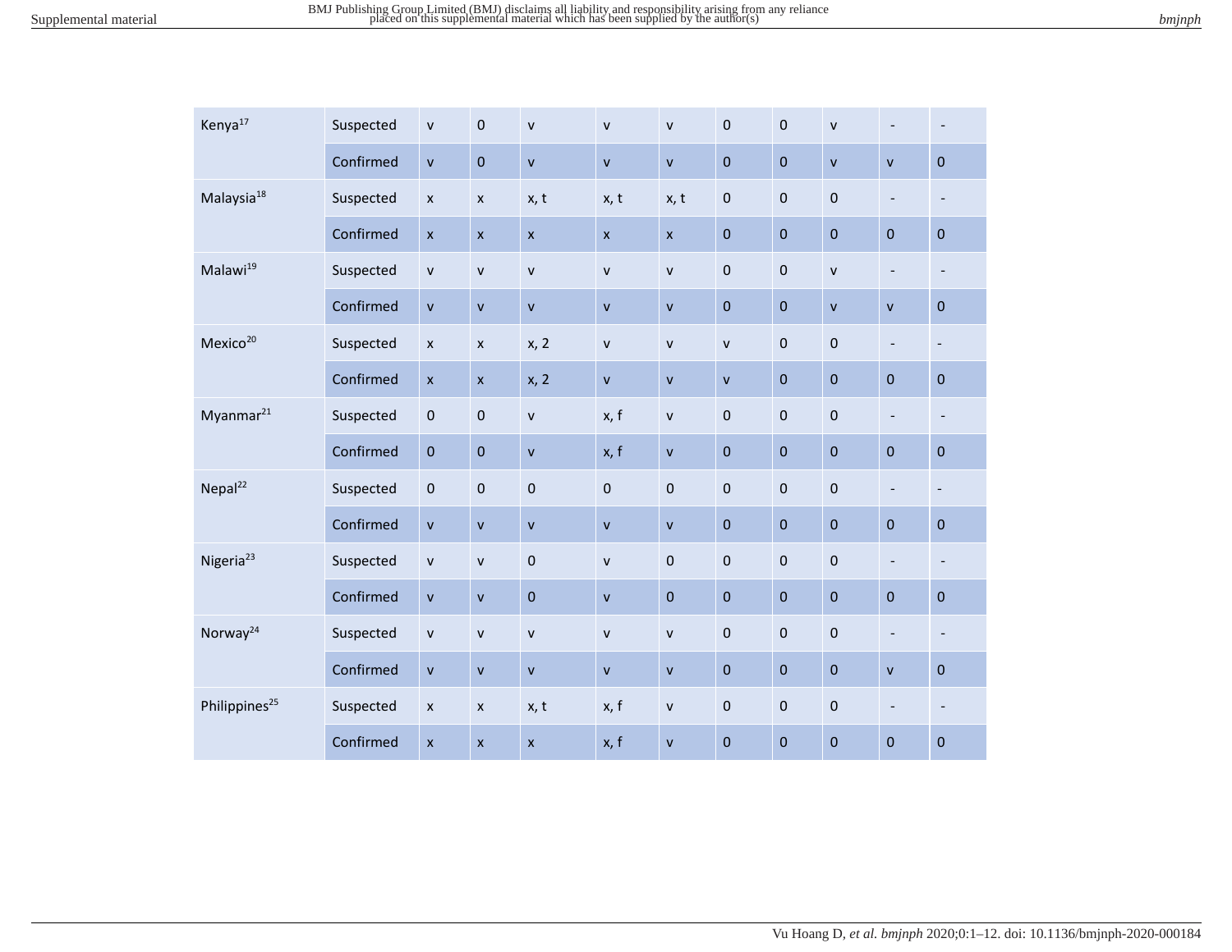| Kenya <sup>17</sup>       | Suspected | $\mathsf{v}$   | $\mathbf 0$        | $\mathsf{v}$       | $\mathbf{v}$              | $\mathsf{v}$ | $\mathbf 0$  | $\pmb{0}$   | $\mathsf{v}$ | $\overline{\phantom{a}}$ | $\overline{\phantom{a}}$ |
|---------------------------|-----------|----------------|--------------------|--------------------|---------------------------|--------------|--------------|-------------|--------------|--------------------------|--------------------------|
|                           | Confirmed | $\mathsf{v}$   | $\pmb{0}$          | $\mathsf{v}$       | $\mathbf{V}$              | $\mathsf{v}$ | $\mathbf 0$  | $\pmb{0}$   | $\mathsf{v}$ | $\mathsf{V}$             | $\mathbf{0}$             |
| Malaysia <sup>18</sup>    | Suspected | $\pmb{\times}$ | $\pmb{\times}$     | x, t               | x, t                      | x, t         | $\pmb{0}$    | $\pmb{0}$   | $\pmb{0}$    | $\blacksquare$           | $\overline{\phantom{a}}$ |
|                           | Confirmed | $\mathsf{x}$   | $\pmb{\mathsf{x}}$ | $\mathsf{x}$       | $\boldsymbol{\mathsf{x}}$ | $\mathsf{x}$ | $\pmb{0}$    | $\pmb{0}$   | $\mathbf{0}$ | $\mathbf 0$              | $\pmb{0}$                |
| Malawi <sup>19</sup>      | Suspected | $\mathsf{v}$   | $\mathsf{v}$       | $\mathsf{V}$       | $\mathsf{v}$              | $\mathsf{v}$ | $\pmb{0}$    | $\pmb{0}$   | $\mathsf{V}$ | $\overline{\phantom{a}}$ | $\overline{\phantom{a}}$ |
|                           | Confirmed | $\mathsf{v}$   | $\mathsf{v}$       | $\mathbf{v}$       | $\mathbf v$               | $\mathsf{v}$ | $\mathbf 0$  | $\mathbf 0$ | $\mathsf{V}$ | $\mathsf{V}$             | $\pmb{0}$                |
| Mexico <sup>20</sup>      | Suspected | $\pmb{\times}$ | $\pmb{\mathsf{x}}$ | x, 2               | $\mathbf{v}$              | $\mathsf{v}$ | $\mathsf{v}$ | $\pmb{0}$   | $\pmb{0}$    | $\overline{\phantom{a}}$ | $\overline{\phantom{a}}$ |
|                           | Confirmed | $\pmb{\times}$ | $\pmb{\mathsf{x}}$ | x, 2               | $\mathsf{v}$              | $\mathsf{v}$ | $\mathsf{v}$ | $\pmb{0}$   | $\pmb{0}$    | $\mathbf 0$              | $\pmb{0}$                |
| Myanmar <sup>21</sup>     | Suspected | $\pmb{0}$      | $\pmb{0}$          | $\mathsf{v}$       | x, f                      | ${\sf v}$    | $\pmb{0}$    | $\pmb{0}$   | $\pmb{0}$    | $\overline{\phantom{a}}$ | $\overline{\phantom{a}}$ |
|                           | Confirmed | $\pmb{0}$      | $\pmb{0}$          | $\mathsf{V}$       | x, f                      | $\mathsf{v}$ | $\pmb{0}$    | $\pmb{0}$   | $\pmb{0}$    | $\pmb{0}$                | $\pmb{0}$                |
| Nepal <sup>22</sup>       | Suspected | $\pmb{0}$      | $\mathbf 0$        | $\mathbf 0$        | $\pmb{0}$                 | $\pmb{0}$    | $\pmb{0}$    | $\mathbf 0$ | $\pmb{0}$    | $\overline{\phantom{a}}$ | $\overline{\phantom{a}}$ |
|                           | Confirmed | $\mathsf{v}$   | $\mathsf{v}$       | $\mathsf{v}$       | $\mathbf v$               | $\mathsf{v}$ | $\pmb{0}$    | $\pmb{0}$   | $\pmb{0}$    | $\pmb{0}$                | $\mathbf 0$              |
| Nigeria <sup>23</sup>     | Suspected | ${\sf v}$      | $\mathsf{v}$       | $\mathbf 0$        | $\mathbf{v}$              | $\pmb{0}$    | $\mathbf 0$  | $\pmb{0}$   | $\mathbf{0}$ | $\overline{\phantom{a}}$ | $\overline{\phantom{a}}$ |
|                           | Confirmed | $\mathsf{v}$   | $\mathsf{v}$       | $\overline{0}$     | $\mathbf{v}$              | $\mathbf 0$  | $\mathbf 0$  | $\pmb{0}$   | $\mathbf{0}$ | $\mathbf 0$              | $\mathbf 0$              |
| Norway <sup>24</sup>      | Suspected | $\mathsf{v}$   | $\mathsf{v}$       | $\mathsf{v}$       | $\mathsf{v}$              | $\mathsf{v}$ | 0            | $\pmb{0}$   | $\pmb{0}$    | $\blacksquare$           | $\overline{\phantom{a}}$ |
|                           | Confirmed | $\mathsf{v}$   | $\mathsf{v}$       | $\mathsf{v}$       | $\mathbf{v}$              | $\mathsf{v}$ | $\mathbf 0$  | $\pmb{0}$   | $\mathbf{0}$ | $\mathsf{v}$             | $\pmb{0}$                |
| Philippines <sup>25</sup> | Suspected | $\pmb{\times}$ | $\pmb{\mathsf{x}}$ | x, t               | x, f                      | $\mathsf{V}$ | $\pmb{0}$    | $\pmb{0}$   | $\pmb{0}$    | $\blacksquare$           | $\overline{\phantom{a}}$ |
|                           | Confirmed | $\pmb{\times}$ | $\pmb{\times}$     | $\pmb{\mathsf{X}}$ | x, f                      | $\mathsf{v}$ | $\pmb{0}$    | $\mathbf 0$ | $\pmb{0}$    | $\mathbf 0$              | $\pmb{0}$                |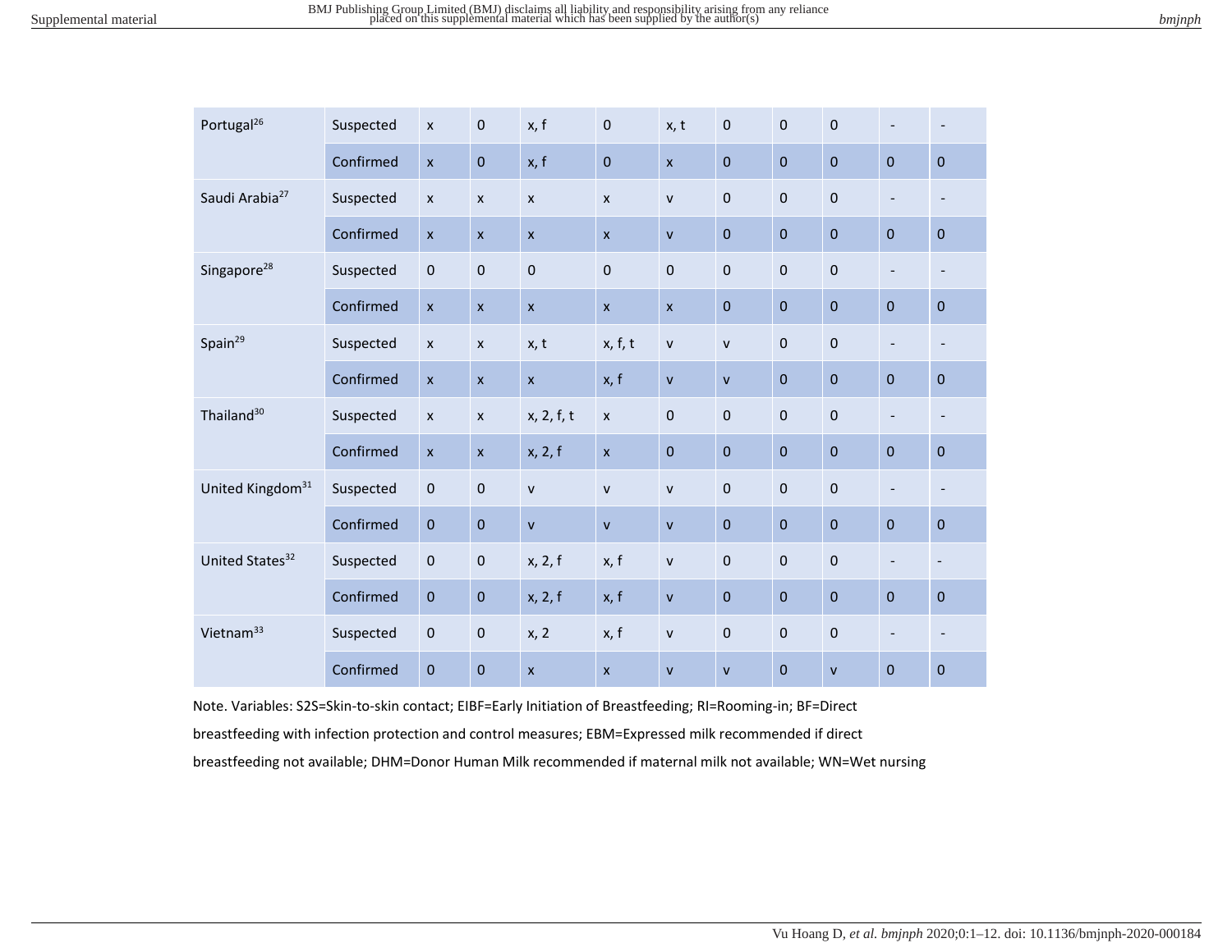|  | ominon |
|--|--------|
|  |        |

| Portugal <sup>26</sup>       | Suspected | $\boldsymbol{\mathsf{x}}$ | $\mathbf 0$               | x, f                      | $\pmb{0}$      | x, t         | $\pmb{0}$    | $\pmb{0}$   | $\pmb{0}$    | $\overline{\phantom{a}}$ | $\overline{\phantom{a}}$     |
|------------------------------|-----------|---------------------------|---------------------------|---------------------------|----------------|--------------|--------------|-------------|--------------|--------------------------|------------------------------|
|                              | Confirmed | $\mathsf{x}$              | $\mathbf 0$               | x, f                      | $\bf 0$        | $\mathsf{x}$ | $\mathbf 0$  | $\mathbf 0$ | $\pmb{0}$    | $\mathbf 0$              | $\pmb{0}$                    |
| Saudi Arabia <sup>27</sup>   | Suspected | $\pmb{\times}$            | $\pmb{\times}$            | $\boldsymbol{\mathsf{x}}$ | $\pmb{\times}$ | $\mathsf{V}$ | $\pmb{0}$    | $\pmb{0}$   | $\mathbf 0$  | $\overline{\phantom{a}}$ | $\overline{\phantom{a}}$     |
|                              | Confirmed | $\pmb{\mathsf{x}}$        | $\pmb{\chi}$              | $\boldsymbol{\mathsf{x}}$ | $\mathsf{x}$   | $\mathsf{v}$ | $\pmb{0}$    | $\mathbf 0$ | $\pmb{0}$    | $\mathbf 0$              | $\pmb{0}$                    |
| Singapore <sup>28</sup>      | Suspected | $\pmb{0}$                 | $\pmb{0}$                 | $\mathbf 0$               | $\mathbf 0$    | $\mathbf 0$  | $\pmb{0}$    | $\bf 0$     | $\pmb{0}$    | $\overline{\phantom{a}}$ | $\overline{\phantom{a}}$     |
|                              | Confirmed | $\pmb{\mathsf{X}}$        | $\boldsymbol{\mathsf{x}}$ | $\boldsymbol{\mathsf{x}}$ | $\mathsf{x}$   | $\mathsf{x}$ | $\pmb{0}$    | $\mathbf 0$ | $\pmb{0}$    | $\mathbf 0$              | $\pmb{0}$                    |
| Spain <sup>29</sup>          | Suspected | $\pmb{\times}$            | $\pmb{\times}$            | x, t                      | x, f, t        | $\mathsf{V}$ | ${\sf v}$    | $\pmb{0}$   | $\pmb{0}$    | $\overline{\phantom{a}}$ | $\overline{\phantom{a}}$     |
|                              | Confirmed | $\pmb{\chi}$              | $\pmb{\chi}$              | $\mathsf{x}$              | x, f           | $\mathsf{V}$ | $\mathsf{v}$ | $\mathbf 0$ | $\pmb{0}$    | $\mathbf 0$              | $\pmb{0}$                    |
| Thailand <sup>30</sup>       | Suspected | $\pmb{\times}$            | $\pmb{\times}$            | x, 2, f, t                | $\pmb{\times}$ | $\pmb{0}$    | $\pmb{0}$    | $\bf 0$     | $\pmb{0}$    | $\overline{\phantom{a}}$ | $\overline{\phantom{a}}$     |
|                              | Confirmed | $\boldsymbol{\mathsf{x}}$ | $\pmb{\times}$            | x, 2, f                   | $\mathsf{x}$   | $\mathbf 0$  | $\mathbf 0$  | $\mathbf 0$ | $\pmb{0}$    | $\pmb{0}$                | $\pmb{0}$                    |
| United Kingdom <sup>31</sup> | Suspected | $\pmb{0}$                 | $\mathbf 0$               | $\mathsf{v}$              | $\mathsf{v}$   | $\mathsf{v}$ | $\mathbf 0$  | $\mathbf 0$ | $\pmb{0}$    | $\overline{\phantom{a}}$ | $\overline{\phantom{a}}$     |
|                              | Confirmed | $\pmb{0}$                 | $\mathbf 0$               | $\mathsf{v}$              | $\mathsf{v}$   | $\mathsf{v}$ | $\pmb{0}$    | $\mathbf 0$ | $\pmb{0}$    | $\mathbf 0$              | $\pmb{0}$                    |
| United States <sup>32</sup>  | Suspected | 0                         | $\pmb{0}$                 | x, 2, f                   | x, f           | $\mathsf{v}$ | $\pmb{0}$    | $\mathbf 0$ | $\pmb{0}$    | $\overline{\phantom{a}}$ | $\qquad \qquad \blacksquare$ |
|                              | Confirmed | $\mathbf 0$               | $\mathbf 0$               | x, 2, f                   | x, f           | $\mathsf{v}$ | $\pmb{0}$    | $\mathbf 0$ | $\pmb{0}$    | $\mathbf 0$              | $\pmb{0}$                    |
| Vietnam <sup>33</sup>        | Suspected | $\pmb{0}$                 | $\mathbf 0$               | x, 2                      | x, f           | $\mathsf{v}$ | $\pmb{0}$    | $\mathbf 0$ | $\mathbf 0$  | $\overline{\phantom{a}}$ | $\overline{\phantom{a}}$     |
|                              | Confirmed | $\pmb{0}$                 | $\pmb{0}$                 | $\boldsymbol{\mathsf{x}}$ | $\mathsf{x}$   | $\mathsf{V}$ | ${\sf v}$    | $\mathbf 0$ | $\mathsf{V}$ | $\pmb{0}$                | $\pmb{0}$                    |

Note. Variables: S2S=Skin-to-skin contact; EIBF=Early Initiation of Breastfeeding; RI=Rooming-in; BF=Direct breastfeeding with infection protection and control measures; EBM=Expressed milk recommended if direct breastfeeding not available; DHM=Donor Human Milk recommended if maternal milk not available; WN=Wet nursing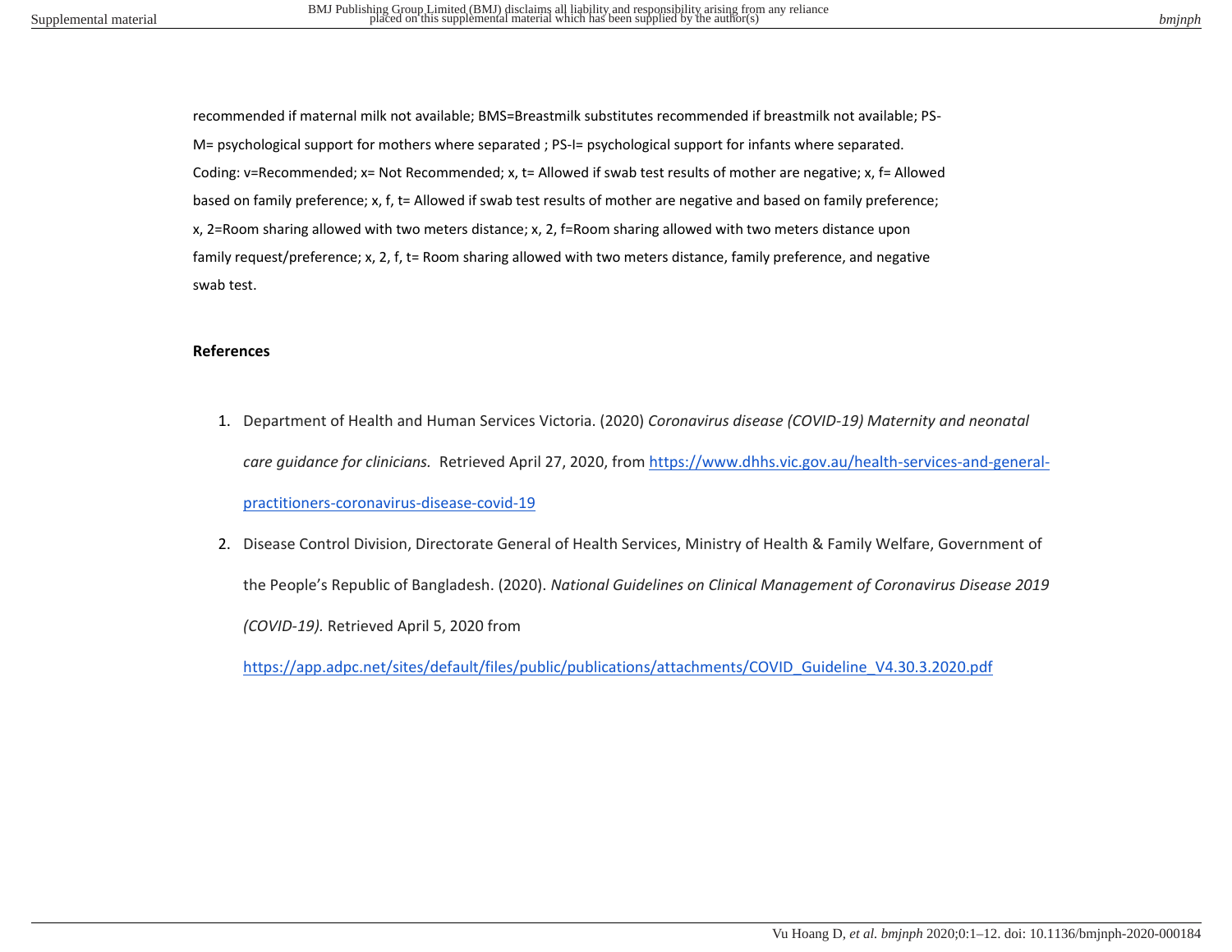recommended if maternal milk not available; BMS=Breastmilk substitutes recommended if breastmilk not available; PS-M= psychological support for mothers where separated ; PS-I= psychological support for infants where separated. Coding: v=Recommended; x= Not Recommended; x, t= Allowed if swab test results of mother are negative; x, f= Allowed based on family preference; x, f, t= Allowed if swab test results of mother are negative and based on family preference; x, 2=Room sharing allowed with two meters distance; x, 2, f=Room sharing allowed with two meters distance upon family request/preference; x, 2, f, t= Room sharing allowed with two meters distance, family preference, and negative swab test.

## **References**

- 1. Department of Health and Human Services Victoria. (2020) *Coronavirus disease (COVID-19) Maternity and neonatal care guidance for clinicians.* Retrieved April 27, 2020, from [https://www.dhhs.vic.gov.au/health-services-and-general](https://www.dhhs.vic.gov.au/health-services-and-general-practitioners-coronavirus-disease-covid-19)[practitioners-coronavirus-disease-covid-19](https://www.dhhs.vic.gov.au/health-services-and-general-practitioners-coronavirus-disease-covid-19)
- 2. Disease Control Division, Directorate General of Health Services, Ministry of Health & Family Welfare, Government of the People's Republic of Bangladesh. (2020). *National Guidelines on Clinical Management of Coronavirus Disease 2019 (COVID-19).* Retrieved April 5, 2020 from

[https://app.adpc.net/sites/default/files/public/publications/attachments/COVID\\_Guideline\\_V4.30.3.2020.pdf](https://app.adpc.net/sites/default/files/public/publications/attachments/COVID_Guideline_V4.30.3.2020.pdf)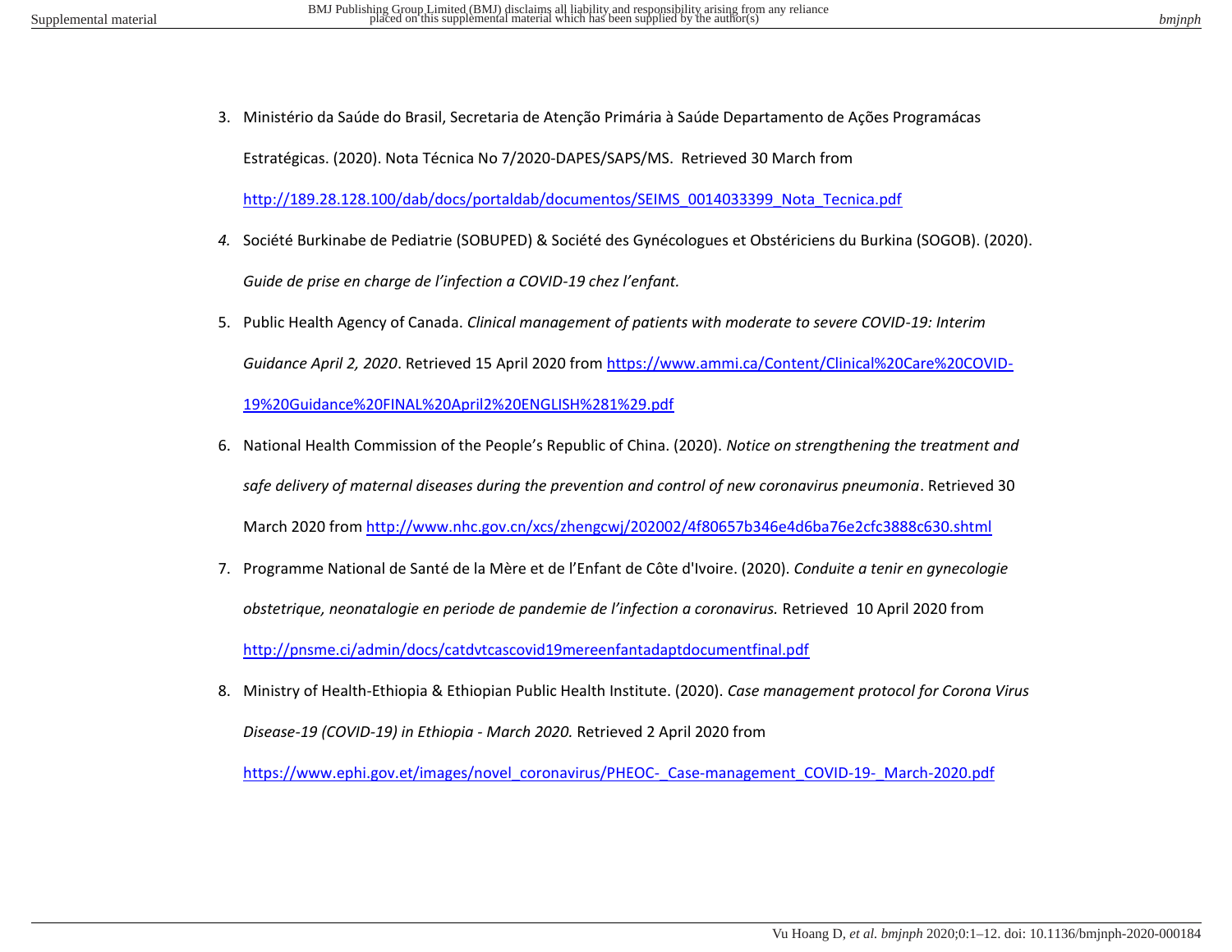3. Ministério da Saúde do Brasil, Secretaria de Atenção Primária à Saúde Departamento de Ações Programácas

Estratégicas. (2020). Nota Técnica No 7/2020-DAPES/SAPS/MS. Retrieved 30 March from

[http://189.28.128.100/dab/docs/portaldab/documentos/SEIMS\\_0014033399\\_Nota\\_Tecnica.pdf](http://189.28.128.100/dab/docs/portaldab/documentos/SEIMS_0014033399_Nota_Tecnica.pdf)

- *4.* Société Burkinabe de Pediatrie (SOBUPED) & Société des Gynécologues et Obstériciens du Burkina (SOGOB). (2020). *Guide de prise en charge de l'infection a COVID-19 chez l'enfant.*
- 5. Public Health Agency of Canada. *Clinical management of patients with moderate to severe COVID-19: Interim Guidance April 2, 2020*. Retrieved 15 April 2020 from [https://www.ammi.ca/Content/Clinical%20Care%20COVID-](https://www.ammi.ca/Content/Clinical%20Care%20COVID-19%20Guidance%20FINAL%20April2%20ENGLISH%281%29.pdf)[19%20Guidance%20FINAL%20April2%20ENGLISH%281%29.pdf](https://www.ammi.ca/Content/Clinical%20Care%20COVID-19%20Guidance%20FINAL%20April2%20ENGLISH%281%29.pdf)
- 6. National Health Commission of the People's Republic of China. (2020). *Notice on strengthening the treatment and safe delivery of maternal diseases during the prevention and control of new coronavirus pneumonia*. Retrieved 30 March 2020 fro[m http://www.nhc.gov.cn/xcs/zhengcwj/202002/4f80657b346e4d6ba76e2cfc3888c630.shtml](http://www.nhc.gov.cn/xcs/zhengcwj/202002/4f80657b346e4d6ba76e2cfc3888c630.shtml)
- 7. Programme National de Santé de la Mère et de l'Enfant de Côte d'Ivoire. (2020). *Conduite a tenir en gynecologie obstetrique, neonatalogie en periode de pandemie de l'infection a coronavirus.* Retrieved 10 April 2020 from <http://pnsme.ci/admin/docs/catdvtcascovid19mereenfantadaptdocumentfinal.pdf>
- 8. Ministry of Health-Ethiopia & Ethiopian Public Health Institute. (2020). *Case management protocol for Corona Virus Disease-19 (COVID-19) in Ethiopia - March 2020.* Retrieved 2 April 2020 from

https://www.ephi.gov.et/images/novel\_coronavirus/PHEOC-\_Case-management\_COVID-19-\_March-2020.pdf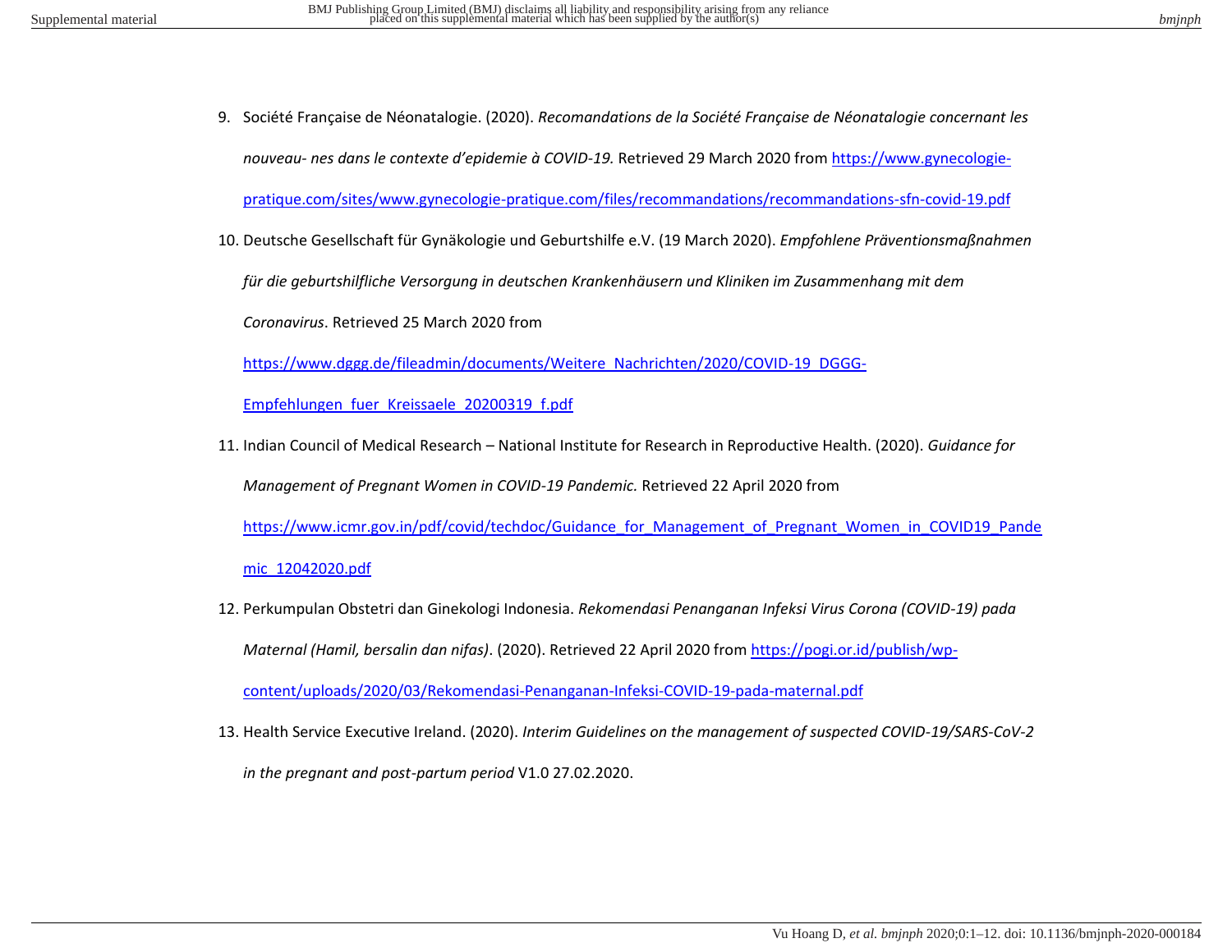9. Société Française de Néonatalogie. (2020). *Recomandations de la Société Française de Néonatalogie concernant les nouveau- nes dans le contexte d'epidemie à COVID-19.* Retrieved 29 March 2020 fro[m https://www.gynecologie-](https://www.gynecologie-pratique.com/sites/www.gynecologie-pratique.com/files/recommandations/recommandations-sfn-covid-19.pdf)

[pratique.com/sites/www.gynecologie-pratique.com/files/recommandations/recommandations-sfn-covid-19.pdf](https://www.gynecologie-pratique.com/sites/www.gynecologie-pratique.com/files/recommandations/recommandations-sfn-covid-19.pdf) 

10. Deutsche Gesellschaft für Gynäkologie und Geburtshilfe e.V. (19 March 2020). *Empfohlene Präventionsmaßnahmen* 

*für die geburtshilfliche Versorgung in deutschen Krankenhäusern und Kliniken im Zusammenhang mit dem* 

*Coronavirus*. Retrieved 25 March 2020 from

[https://www.dggg.de/fileadmin/documents/Weitere\\_Nachrichten/2020/COVID-19\\_DGGG-](https://www.dggg.de/fileadmin/documents/Weitere_Nachrichten/2020/COVID-19_DGGG-Empfehlungen_fuer_Kreissaele_20200319_f.pdf)

[Empfehlungen\\_fuer\\_Kreissaele\\_20200319\\_f.pdf](https://www.dggg.de/fileadmin/documents/Weitere_Nachrichten/2020/COVID-19_DGGG-Empfehlungen_fuer_Kreissaele_20200319_f.pdf)

11. Indian Council of Medical Research – National Institute for Research in Reproductive Health. (2020). *Guidance for Management of Pregnant Women in COVID-19 Pandemic.* Retrieved 22 April 2020 from

[https://www.icmr.gov.in/pdf/covid/techdoc/Guidance\\_for\\_Management\\_of\\_Pregnant\\_Women\\_in\\_COVID19\\_Pande](https://www.icmr.gov.in/pdf/covid/techdoc/Guidance_for_Management_of_Pregnant_Women_in_COVID19_Pandemic_12042020.pdf)

[mic\\_12042020.pdf](https://www.icmr.gov.in/pdf/covid/techdoc/Guidance_for_Management_of_Pregnant_Women_in_COVID19_Pandemic_12042020.pdf)

12. Perkumpulan Obstetri dan Ginekologi Indonesia. *Rekomendasi Penanganan Infeksi Virus Corona (COVID-19) pada Maternal (Hamil, bersalin dan nifas)*. (2020). Retrieved 22 April 2020 from [https://pogi.or.id/publish/wp-](https://pogi.or.id/publish/wp-content/uploads/2020/03/Rekomendasi-Penanganan-Infeksi-COVID-19-pada-maternal.pdf)

[content/uploads/2020/03/Rekomendasi-Penanganan-Infeksi-COVID-19-pada-maternal.pdf](https://pogi.or.id/publish/wp-content/uploads/2020/03/Rekomendasi-Penanganan-Infeksi-COVID-19-pada-maternal.pdf)

13. Health Service Executive Ireland. (2020). *Interim Guidelines on the management of suspected COVID-19/SARS-CoV-2* 

*in the pregnant and post-partum period* V1.0 27.02.2020.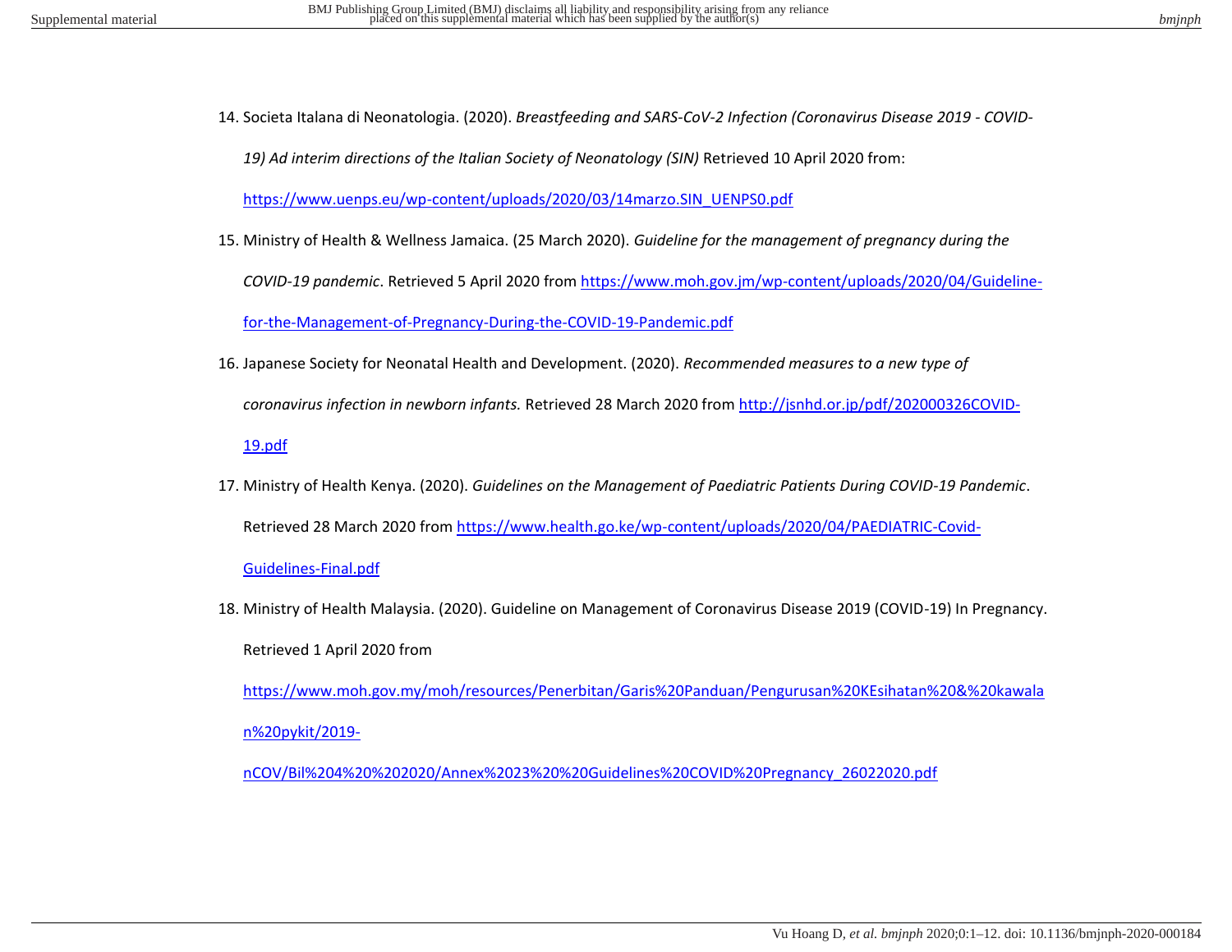14. Societa Italana di Neonatologia. (2020). *Breastfeeding and SARS-CoV-2 Infection (Coronavirus Disease 2019 - COVID-*

*19) Ad interim directions of the Italian Society of Neonatology (SIN)* Retrieved 10 April 2020 from:

[https://www.uenps.eu/wp-content/uploads/2020/03/14marzo.SIN\\_UENPS0.pdf](https://www.uenps.eu/wp-content/uploads/2020/03/14marzo.SIN_UENPS0.pdf) 

15. Ministry of Health & Wellness Jamaica. (25 March 2020). *Guideline for the management of pregnancy during the* 

*COVID-19 pandemic*. Retrieved 5 April 2020 from [https://www.moh.gov.jm/wp-content/uploads/2020/04/Guideline-](https://www.moh.gov.jm/wp-content/uploads/2020/04/Guideline-for-the-Management-of-Pregnancy-During-the-COVID-19-Pandemic.pdf)

[for-the-Management-of-Pregnancy-During-the-COVID-19-Pandemic.pdf](https://www.moh.gov.jm/wp-content/uploads/2020/04/Guideline-for-the-Management-of-Pregnancy-During-the-COVID-19-Pandemic.pdf)

16. Japanese Society for Neonatal Health and Development. (2020). *Recommended measures to a new type of* 

*coronavirus infection in newborn infants.* Retrieved 28 March 2020 from [http://jsnhd.or.jp/pdf/202000326COVID-](http://jsnhd.or.jp/pdf/202000326COVID-19.pdf)

[19.pdf](http://jsnhd.or.jp/pdf/202000326COVID-19.pdf)

17. Ministry of Health Kenya. (2020). *Guidelines on the Management of Paediatric Patients During COVID-19 Pandemic*. Retrieved 28 March 2020 from [https://www.health.go.ke/wp-content/uploads/2020/04/PAEDIATRIC-Covid-](https://www.health.go.ke/wp-content/uploads/2020/04/PAEDIATRIC-Covid-Guidelines-Final.pdf)

[Guidelines-Final.pdf](https://www.health.go.ke/wp-content/uploads/2020/04/PAEDIATRIC-Covid-Guidelines-Final.pdf) 

18. Ministry of Health Malaysia. (2020). Guideline on Management of Coronavirus Disease 2019 (COVID-19) In Pregnancy. Retrieved 1 April 2020 from

[https://www.moh.gov.my/moh/resources/Penerbitan/Garis%20Panduan/Pengurusan%20KEsihatan%20&%20kawala](https://www.moh.gov.my/moh/resources/Penerbitan/Garis%20Panduan/Pengurusan%20KEsihatan%20&%20kawalan%20pykit/2019-nCOV/Bil%204%20%202020/Annex%2023%20%20Guidelines%20COVID%20Pregnancy_26022020.pdf) [n%20pykit/2019-](https://www.moh.gov.my/moh/resources/Penerbitan/Garis%20Panduan/Pengurusan%20KEsihatan%20&%20kawalan%20pykit/2019-nCOV/Bil%204%20%202020/Annex%2023%20%20Guidelines%20COVID%20Pregnancy_26022020.pdf)

[nCOV/Bil%204%20%202020/Annex%2023%20%20Guidelines%20COVID%20Pregnancy\\_26022020.pdf](https://www.moh.gov.my/moh/resources/Penerbitan/Garis%20Panduan/Pengurusan%20KEsihatan%20&%20kawalan%20pykit/2019-nCOV/Bil%204%20%202020/Annex%2023%20%20Guidelines%20COVID%20Pregnancy_26022020.pdf)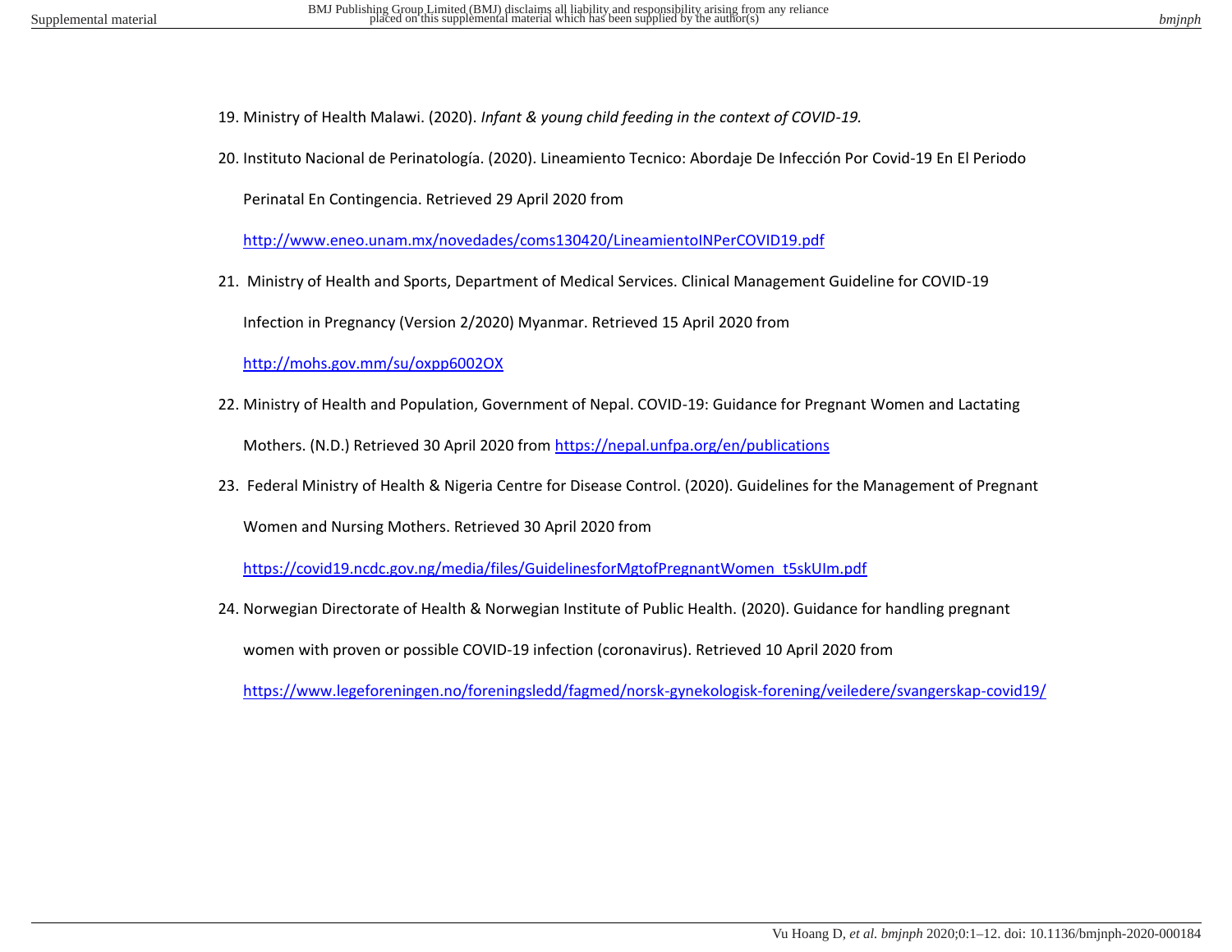- 19. Ministry of Health Malawi. (2020). *Infant & young child feeding in the context of COVID-19.*
- 20. Instituto Nacional de Perinatología. (2020). Lineamiento Tecnico: Abordaje De Infección Por Covid-19 En El Periodo

Perinatal En Contingencia. Retrieved 29 April 2020 from

<http://www.eneo.unam.mx/novedades/coms130420/LineamientoINPerCOVID19.pdf>

21. Ministry of Health and Sports, Department of Medical Services. Clinical Management Guideline for COVID-19

Infection in Pregnancy (Version 2/2020) Myanmar. Retrieved 15 April 2020 from

<http://mohs.gov.mm/su/oxpp6002OX>

22. Ministry of Health and Population, Government of Nepal. COVID-19: Guidance for Pregnant Women and Lactating

Mothers. (N.D.) Retrieved 30 April 2020 from<https://nepal.unfpa.org/en/publications>

23. Federal Ministry of Health & Nigeria Centre for Disease Control. (2020). Guidelines for the Management of Pregnant

Women and Nursing Mothers. Retrieved 30 April 2020 from

[https://covid19.ncdc.gov.ng/media/files/GuidelinesforMgtofPregnantWomen\\_t5skUIm.pdf](https://covid19.ncdc.gov.ng/media/files/GuidelinesforMgtofPregnantWomen_t5skUIm.pdf) 

24. Norwegian Directorate of Health & Norwegian Institute of Public Health. (2020). Guidance for handling pregnant

women with proven or possible COVID-19 infection (coronavirus). Retrieved 10 April 2020 from

<https://www.legeforeningen.no/foreningsledd/fagmed/norsk-gynekologisk-forening/veiledere/svangerskap-covid19/>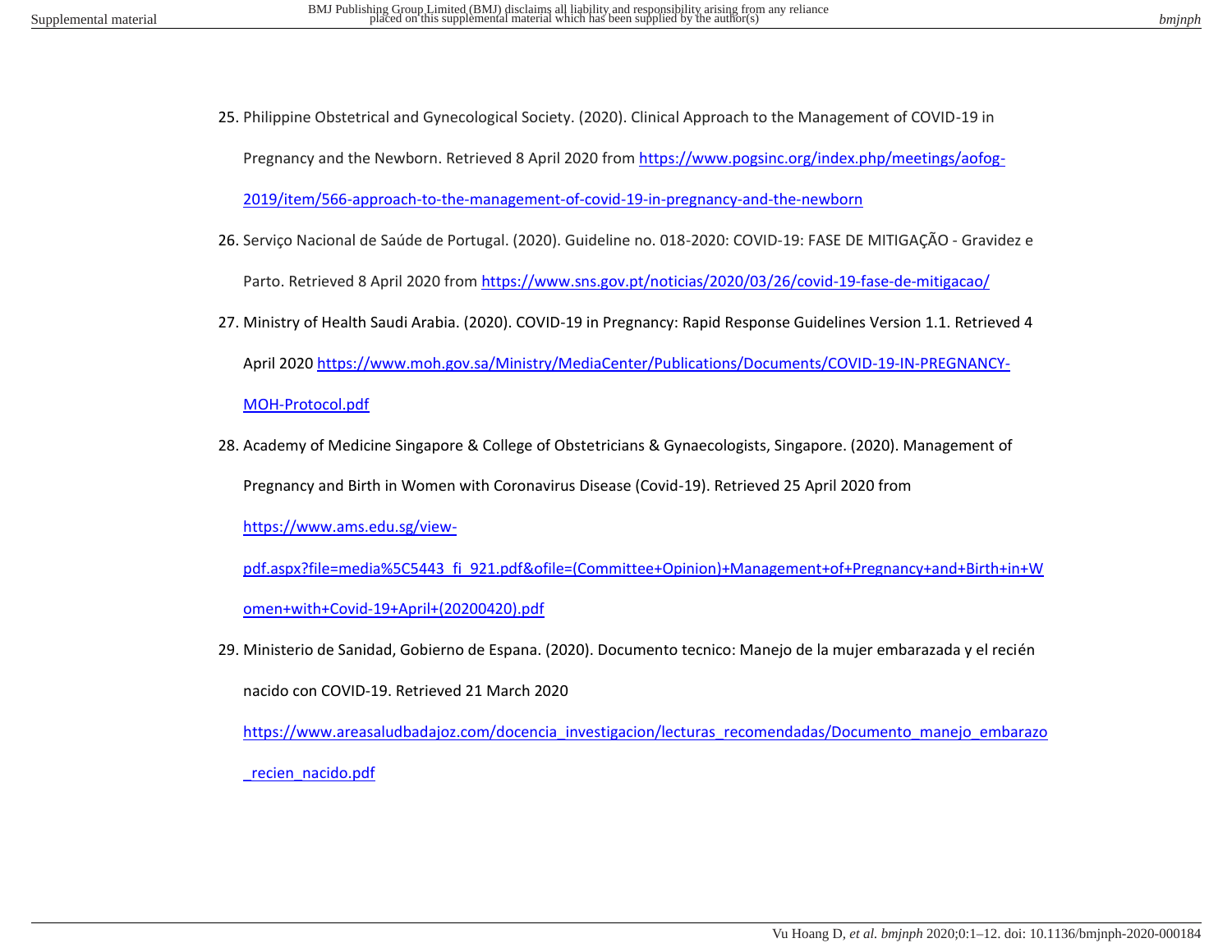25. Philippine Obstetrical and Gynecological Society. (2020). Clinical Approach to the Management of COVID-19 in

Pregnancy and the Newborn. Retrieved 8 April 2020 from [https://www.pogsinc.org/index.php/meetings/aofog-](https://www.pogsinc.org/index.php/meetings/aofog-2019/item/566-approach-to-the-management-of-covid-19-in-pregnancy-and-the-newborn)

[2019/item/566-approach-to-the-management-of-covid-19-in-pregnancy-and-the-newborn](https://www.pogsinc.org/index.php/meetings/aofog-2019/item/566-approach-to-the-management-of-covid-19-in-pregnancy-and-the-newborn)

26. Serviço Nacional de Saúde de Portugal. (2020). Guideline no. 018-2020: COVID-19: FASE DE MITIGAÇÃO - Gravidez e

Parto. Retrieved 8 April 2020 fro[m https://www.sns.gov.pt/noticias/2020/03/26/covid-19-fase-de-mitigacao/](https://www.sns.gov.pt/noticias/2020/03/26/covid-19-fase-de-mitigacao/)

27. Ministry of Health Saudi Arabia. (2020). COVID-19 in Pregnancy: Rapid Response Guidelines Version 1.1. Retrieved 4 April 2020 [https://www.moh.gov.sa/Ministry/MediaCenter/Publications/Documents/COVID-19-IN-PREGNANCY-](https://www.moh.gov.sa/Ministry/MediaCenter/Publications/Documents/COVID-19-IN-PREGNANCY-MOH-Protocol.pdf)

[MOH-Protocol.pdf](https://www.moh.gov.sa/Ministry/MediaCenter/Publications/Documents/COVID-19-IN-PREGNANCY-MOH-Protocol.pdf) 

28. Academy of Medicine Singapore & College of Obstetricians & Gynaecologists, Singapore. (2020). Management of

Pregnancy and Birth in Women with Coronavirus Disease (Covid-19). Retrieved 25 April 2020 from

[https://www.ams.edu.sg/view-](https://www.ams.edu.sg/view-pdf.aspx?file=media%5C5443_fi_921.pdf&ofile=(Committee+Opinion)+Management+of+Pregnancy+and+Birth+in+Women+with+Covid-19+April+(20200420).pdf)

[pdf.aspx?file=media%5C5443\\_fi\\_921.pdf&ofile=\(Committee+Opinion\)+Management+of+Pregnancy+and+Birth+in+W](https://www.ams.edu.sg/view-pdf.aspx?file=media%5C5443_fi_921.pdf&ofile=(Committee+Opinion)+Management+of+Pregnancy+and+Birth+in+Women+with+Covid-19+April+(20200420).pdf) [omen+with+Covid-19+April+\(20200420\).pdf](https://www.ams.edu.sg/view-pdf.aspx?file=media%5C5443_fi_921.pdf&ofile=(Committee+Opinion)+Management+of+Pregnancy+and+Birth+in+Women+with+Covid-19+April+(20200420).pdf) 

29. Ministerio de Sanidad, Gobierno de Espana. (2020). Documento tecnico: Manejo de la mujer embarazada y el recién

nacido con COVID-19. Retrieved 21 March 2020

[https://www.areasaludbadajoz.com/docencia\\_investigacion/lecturas\\_recomendadas/Documento\\_manejo\\_embarazo](https://www.areasaludbadajoz.com/docencia_investigacion/lecturas_recomendadas/Documento_manejo_embarazo_recien_nacido.pdf) [\\_recien\\_nacido.pdf](https://www.areasaludbadajoz.com/docencia_investigacion/lecturas_recomendadas/Documento_manejo_embarazo_recien_nacido.pdf)